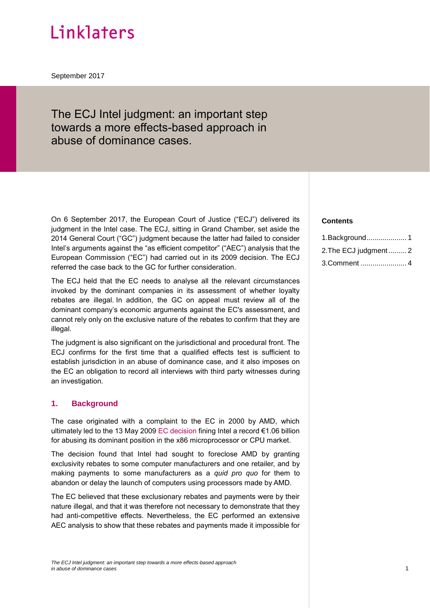# Linklaters

September 2017

## The ECJ Intel judgment: an important step towards a more effects-based approach in abuse of dominance cases.

On 6 September 2017, the European Court of Justice ("ECJ") delivered its judgment in the Intel case. The ECJ, sitting in Grand Chamber, set aside the 2014 General Court ("GC") judgment because the latter had failed to consider Intel's arguments against the "as efficient competitor" ("AEC") analysis that the European Commission ("EC") had carried out in its 2009 decision. The ECJ referred the case back to the GC for further consideration.

The ECJ held that the EC needs to analyse all the relevant circumstances invoked by the dominant companies in its assessment of whether loyalty rebates are illegal. In addition, the GC on appeal must review all of the dominant company's economic arguments against the EC's assessment, and cannot rely only on the exclusive nature of the rebates to confirm that they are illegal.

The judgment is also significant on the jurisdictional and procedural front. The ECJ confirms for the first time that a qualified effects test is sufficient to establish jurisdiction in an abuse of dominance case, and it also imposes on the EC an obligation to record all interviews with third party witnesses during an investigation.

#### <span id="page-0-0"></span>**1. Background**

The case originated with a complaint to the EC in 2000 by AMD, which ultimately led to the 13 May 2009 [EC decision](http://ec.europa.eu/competition/antitrust/cases/dec_docs/37990/37990_3581_18.pdf) fining Intel a record €1.06 billion for abusing its dominant position in the x86 microprocessor or CPU market.

The decision found that Intel had sought to foreclose AMD by granting exclusivity rebates to some computer manufacturers and one retailer, and by making payments to some manufacturers as a *quid pro quo* for them to abandon or delay the launch of computers using processors made by AMD.

The EC believed that these exclusionary rebates and payments were by their nature illegal, and that it was therefore not necessary to demonstrate that they had anti-competitive effects. Nevertheless, the EC performed an extensive AEC analysis to show that these rebates and payments made it impossible for

#### *The ECJ Intel judgment: an important step towards a more effects-based approach in abuse of dominance cases* 1

#### **Contents**

| 1. Background 1        |  |
|------------------------|--|
| 2. The ECJ judgment  2 |  |
| 3. Comment  4          |  |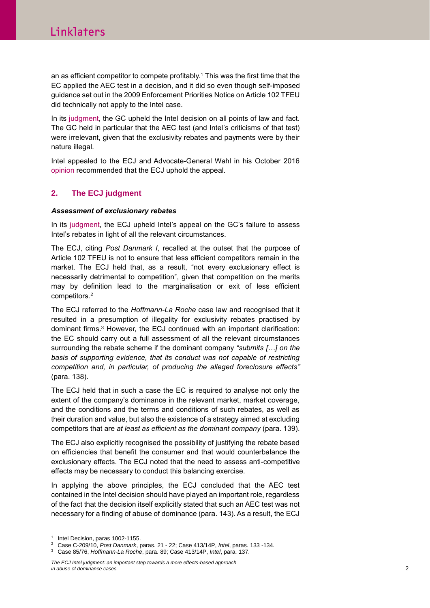an as efficient competitor to compete profitably.<sup>1</sup> This was the first time that the EC applied the AEC test in a decision, and it did so even though self-imposed guidance set out in the 2009 Enforcement Priorities Notice on Article 102 TFEU did technically not apply to the Intel case.

In its [judgment,](http://curia.europa.eu/juris/document/document.jsf?text=&docid=153543&pageIndex=0&doclang=en&mode=lst&dir=&occ=first&part=1&cid=694346) the GC upheld the Intel decision on all points of law and fact. The GC held in particular that the AEC test (and Intel's criticisms of that test) were irrelevant, given that the exclusivity rebates and payments were by their nature illegal.

Intel appealed to the ECJ and Advocate-General Wahl in his October 2016 [opinion](http://curia.europa.eu/juris/document/document.jsf?text=&docid=184682&doclang=EN) recommended that the ECJ uphold the appeal.

### <span id="page-1-0"></span>**2. The ECJ judgment**

#### *Assessment of exclusionary rebates*

In its [judgment,](http://curia.europa.eu/juris/document/document.jsf?text=&docid=194082&pageIndex=0&doclang=en&mode=lst&dir=&occ=first&part=1&cid=694847) the ECJ upheld Intel's appeal on the GC's failure to assess Intel's rebates in light of all the relevant circumstances.

The ECJ, citing *Post Danmark I*, recalled at the outset that the purpose of Article 102 TFEU is not to ensure that less efficient competitors remain in the market. The ECJ held that, as a result, "not every exclusionary effect is necessarily detrimental to competition", given that competition on the merits may by definition lead to the marginalisation or exit of less efficient competitors.<sup>2</sup>

The ECJ referred to the *Hoffmann-La Roche* case law and recognised that it resulted in a presumption of illegality for exclusivity rebates practised by dominant firms. <sup>3</sup> However, the ECJ continued with an important clarification: the EC should carry out a full assessment of all the relevant circumstances surrounding the rebate scheme if the dominant company *"submits […] on the basis of supporting evidence, that its conduct was not capable of restricting competition and, in particular, of producing the alleged foreclosure effects"* (para. 138).

The ECJ held that in such a case the EC is required to analyse not only the extent of the company's dominance in the relevant market, market coverage, and the conditions and the terms and conditions of such rebates, as well as their duration and value, but also the existence of a strategy aimed at excluding competitors that are *at least as efficient as the dominant company* (para. 139).

The ECJ also explicitly recognised the possibility of justifying the rebate based on efficiencies that benefit the consumer and that would counterbalance the exclusionary effects. The ECJ noted that the need to assess anti-competitive effects may be necessary to conduct this balancing exercise.

In applying the above principles, the ECJ concluded that the AEC test contained in the Intel decision should have played an important role, regardless of the fact that the decision itself explicitly stated that such an AEC test was not necessary for a finding of abuse of dominance (para. 143). As a result, the ECJ

l 1 Intel Decision, paras 1002-1155.

<sup>2</sup> Case C-209/10, *Post Danmark*, paras. 21 - 22; Case 413/14P, *Intel*, paras. 133 -134.

<sup>3</sup> Case 85/76, *Hoffmann-La Roche*, para. 89; Case 413/14P, *Intel*, para. 137.

*The ECJ Intel judgment: an important step towards a more effects-based approach in abuse of dominance cases* 2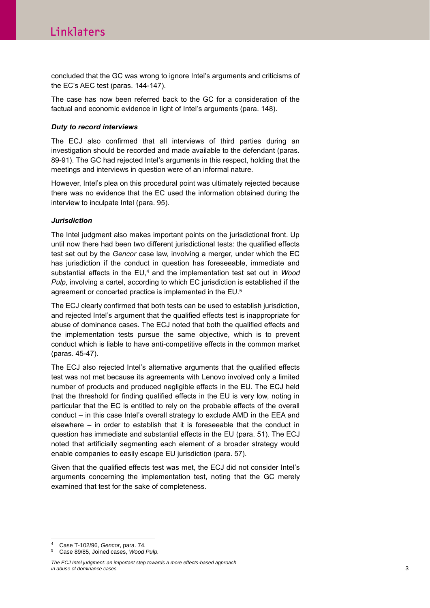concluded that the GC was wrong to ignore Intel's arguments and criticisms of the EC's AEC test (paras. 144-147).

The case has now been referred back to the GC for a consideration of the factual and economic evidence in light of Intel's arguments (para. 148).

#### *Duty to record interviews*

The ECJ also confirmed that all interviews of third parties during an investigation should be recorded and made available to the defendant (paras. 89-91). The GC had rejected Intel's arguments in this respect, holding that the meetings and interviews in question were of an informal nature.

However, Intel's plea on this procedural point was ultimately rejected because there was no evidence that the EC used the information obtained during the interview to inculpate Intel (para. 95).

#### *Jurisdiction*

The Intel judgment also makes important points on the jurisdictional front. Up until now there had been two different jurisdictional tests: the qualified effects test set out by the *Gencor* case law, involving a merger, under which the EC has jurisdiction if the conduct in question has foreseeable, immediate and substantial effects in the EU,<sup>4</sup> and the implementation test set out in *Wood Pulp*, involving a cartel, according to which EC jurisdiction is established if the agreement or concerted practice is implemented in the EU.<sup>5</sup>

The ECJ clearly confirmed that both tests can be used to establish jurisdiction, and rejected Intel's argument that the qualified effects test is inappropriate for abuse of dominance cases. The ECJ noted that both the qualified effects and the implementation tests pursue the same objective, which is to prevent conduct which is liable to have anti-competitive effects in the common market (paras. 45-47).

The ECJ also rejected Intel's alternative arguments that the qualified effects test was not met because its agreements with Lenovo involved only a limited number of products and produced negligible effects in the EU. The ECJ held that the threshold for finding qualified effects in the EU is very low, noting in particular that the EC is entitled to rely on the probable effects of the overall conduct – in this case Intel's overall strategy to exclude AMD in the EEA and elsewhere – in order to establish that it is foreseeable that the conduct in question has immediate and substantial effects in the EU (para. 51). The ECJ noted that artificially segmenting each element of a broader strategy would enable companies to easily escape EU jurisdiction (para. 57).

Given that the qualified effects test was met, the ECJ did not consider Intel's arguments concerning the implementation test, noting that the GC merely examined that test for the sake of completeness.

l <sup>4</sup> Case T-102/96, *Gencor*, para. 74.

<sup>5</sup> Case 89/85, Joined cases, *Wood Pulp.*

*The ECJ Intel judgment: an important step towards a more effects-based approach in abuse of dominance cases* 3